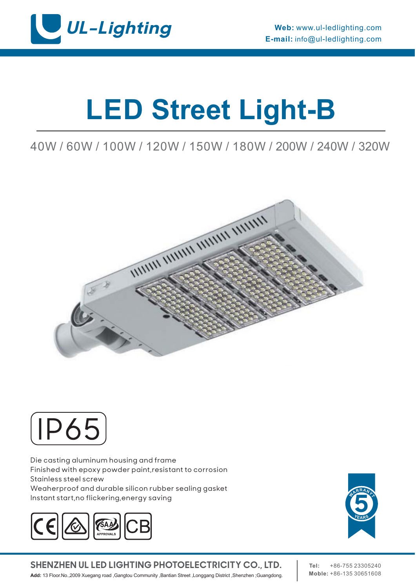

# **LED Street Light-B**

### 40W / 60W / 100W / 120W / 150W / 180W / 200W / 240W / 320W





Die casting aluminum housing and frame Finished with epoxy powder paint,resistant to corrosion Stainless steel screw Weaherproof and durable silicon rubber sealing gasket Instant start,no flickering,energy saving





**SHENZHEN UL LED LIGHTING PHOTOELECTRICITY CO., LTD. Add:** 13 Floor.No.,2009 Xuegang road ,Gangtou Community ,Bantian Street ,Longgang District ,Shenzhen ;Guangdong. **Moble:** +86-135 30651608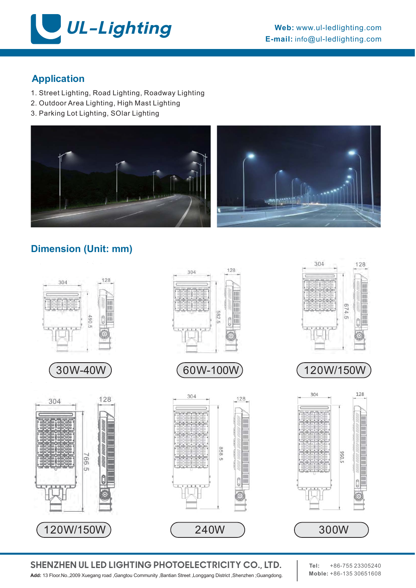

### **Application**

- 1. Street Lighting, Road Lighting, Roadway Lighting
- 2. Outdoor Area Lighting, High Mast Lighting
- 3. Parking Lot Lighting, SOlar Lighting



### **Dimension (Unit: mm)**



**SHENZHEN UL LED LIGHTING PHOTOELECTRICITY CO., LTD. Add:** 13 Floor.No.,2009 Xuegang road ,Gangtou Community ,Bantian Street ,Longgang District ,Shenzhen ;Guangdong. **Moble:** +86-135 30651608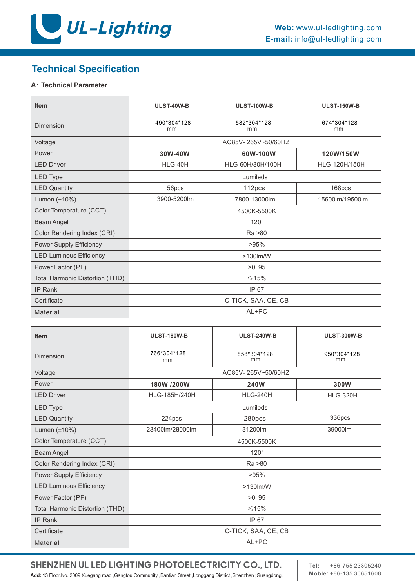

### **Technical Specification**

### **A**: **Technical Parameter**

| <b>Item</b>                     | ULST-40W-B          | <b>ULST-100W-B</b> | <b>ULST-150W-B</b> |  |  |
|---------------------------------|---------------------|--------------------|--------------------|--|--|
| Dimension                       | 490*304*128<br>mm   | 582*304*128<br>mm  | 674*304*128<br>mm  |  |  |
| Voltage                         | AC85V-265V~50/60HZ  |                    |                    |  |  |
| Power                           | 30W-40W             | 60W-100W           | 120W/150W          |  |  |
| <b>LED Driver</b>               | HLG-40H             | HLG-60H/80H/100H   | HLG-120H/150H      |  |  |
| <b>LED Type</b>                 | Lumileds            |                    |                    |  |  |
| <b>LED Quantity</b>             | 56pcs               | 112pcs             | 168pcs             |  |  |
| Lumen $(\pm 10\%)$              | 3900-5200lm         | 7800-13000lm       | 15600lm/19500lm    |  |  |
| Color Temperature (CCT)         | 4500K-5500K         |                    |                    |  |  |
| <b>Beam Angel</b>               | $120^\circ$         |                    |                    |  |  |
| Color Rendering Index (CRI)     | Ra > 80             |                    |                    |  |  |
| Power Supply Efficiency         | >95%                |                    |                    |  |  |
| <b>LED Luminous Efficiency</b>  | $>130$ lm/W         |                    |                    |  |  |
| Power Factor (PF)               | >0.95               |                    |                    |  |  |
| Total Harmonic Distortion (THD) | $\leq 15\%$         |                    |                    |  |  |
| <b>IP Rank</b>                  | IP 67               |                    |                    |  |  |
| Certificate                     | C-TICK, SAA, CE, CB |                    |                    |  |  |
| Material                        | AL+PC               |                    |                    |  |  |

| <b>Item</b>                     | <b>ULST-180W-B</b>  | <b>ULST-240W-B</b> | <b>ULST-300W-B</b> |  |  |
|---------------------------------|---------------------|--------------------|--------------------|--|--|
| Dimension                       | 766*304*128<br>mm   | 858*304*128<br>mm  | 950*304*128<br>mm  |  |  |
| Voltage                         | AC85V-265V~50/60HZ  |                    |                    |  |  |
| Power                           | 180W /200W          | <b>240W</b>        | 300W               |  |  |
| <b>LED Driver</b>               | HLG-185H/240H       | <b>HLG-240H</b>    | <b>HLG-320H</b>    |  |  |
| <b>LED Type</b>                 | Lumileds            |                    |                    |  |  |
| <b>LED Quantity</b>             | 224pcs              | 280pcs             | 336pcs             |  |  |
| Lumen $(\pm 10\%)$              | 23400lm/26000lm     | 31200lm            | 39000lm            |  |  |
| Color Temperature (CCT)         | 4500K-5500K         |                    |                    |  |  |
| <b>Beam Angel</b>               | $120^\circ$         |                    |                    |  |  |
| Color Rendering Index (CRI)     | Ra > 80             |                    |                    |  |  |
| Power Supply Efficiency         | >95%                |                    |                    |  |  |
| <b>LED Luminous Efficiency</b>  | $>130$ lm/W         |                    |                    |  |  |
| Power Factor (PF)               | >0.95               |                    |                    |  |  |
| Total Harmonic Distortion (THD) | $\leq 15\%$         |                    |                    |  |  |
| IP Rank                         | IP 67               |                    |                    |  |  |
| Certificate                     | C-TICK, SAA, CE, CB |                    |                    |  |  |
| Material                        | AL+PC               |                    |                    |  |  |

**SHENZHEN UL LED LIGHTING PHOTOELECTRICITY CO., LTD. Add:** 13 Floor.No.,2009 Xuegang road ,Gangtou Community ,Bantian Street ,Longgang District ,Shenzhen ;Guangdong. **Moble:** +86-135 30651608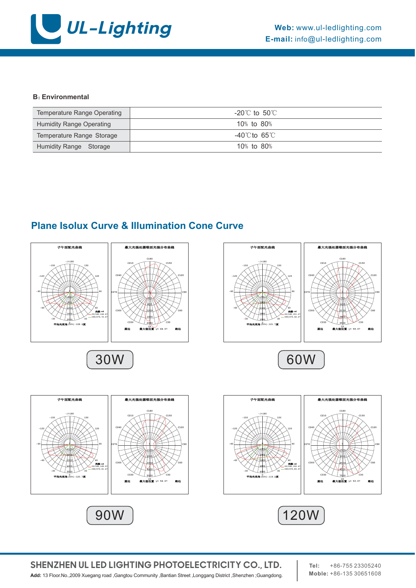

### **B**: **Environmental**

| Temperature Range Operating     | $-20^{\circ}$ C to 50 $^{\circ}$ C |
|---------------------------------|------------------------------------|
| <b>Humidity Range Operating</b> | 10% to 80%                         |
| Temperature Range Storage       | $-40^{\circ}$ Cto 65 $^{\circ}$ C  |
| Humidity Range Storage          | 10% to 80%                         |

### **Plane Isolux Curve & Illumination Cone Curve**



## **SHENZHEN UL LED LIGHTING PHOTOELECTRICITY CO., LTD. Add:** 13 Floor.No.,2009 Xuegang road ,Gangtou Community ,Bantian Street ,Longgang District ,Shenzhen ;Guangdong. **Moble:** +86-135 30651608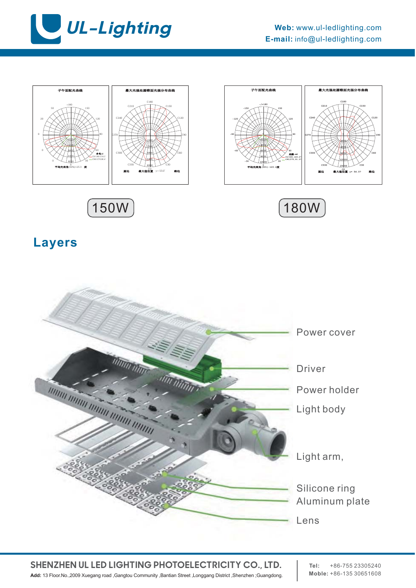



**Layers**



**SHENZHEN UL LED LIGHTING PHOTOELECTRICITY CO., LTD. Add:** 13 Floor.No.,2009 Xuegang road ,Gangtou Community ,Bantian Street ,Longgang District ,Shenzhen ;Guangdong. **Moble:** +86-135 30651608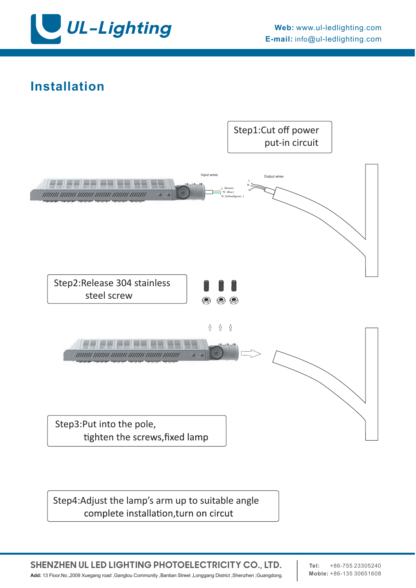

## **Installation**



### Step4:Adjust the lamp's arm up to suitable angle complete installation, turn on circut

**SHENZHEN UL LED LIGHTING PHOTOELECTRICITY CO., LTD. Add:** 13 Floor.No.,2009 Xuegang road ,Gangtou Community ,Bantian Street ,Longgang District ,Shenzhen ;Guangdong. **Moble:** +86-135 30651608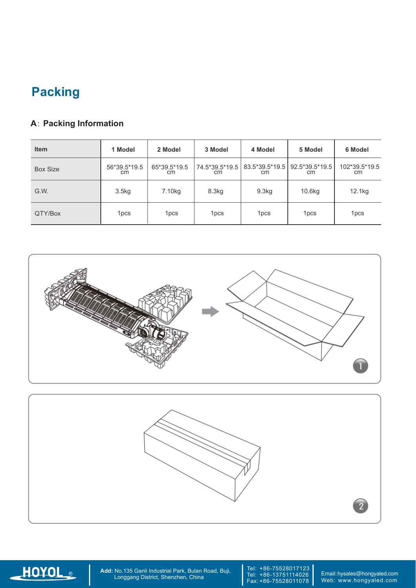## **Packing**

### **A**: **Packing Information**

| <b>Item</b>     | 1 Model             | 2 Model             | 3 Model          | 4 Model                                                  | 5 Model          | 6 Model              |
|-----------------|---------------------|---------------------|------------------|----------------------------------------------------------|------------------|----------------------|
| <b>Box Size</b> | 56*39.5*19.5<br>cm. | 65*39.5*19.5<br>cm. | cm               | 74.5*39.5*19.5   83.5*39.5*19.5   92.5*39.5*19.5  <br>cm | cm               | 102*39.5*19.5<br>cm. |
| G.W.            | 3.5 <sub>kg</sub>   | 7.10 <sub>kg</sub>  | 8.3kg            | 9.3kg                                                    | 10.6kg           | 12.1kg               |
| QTY/Box         | 1pcs                | 1 <sub>pcs</sub>    | 1 <sub>pcs</sub> | 1pcs                                                     | 1 <sub>pcs</sub> | 1 <sub>pcs</sub>     |





R **Add:** No.135 Ganli Industrial Park, Bulan Road, Buji,<br>Longgang District, Shenzhen, China

Tel: +86-75528017123 Tel: +86-13751114026 Fax: +86-75528011078

Email: hysales@hongyaled.com Web: www.hongyaled.com